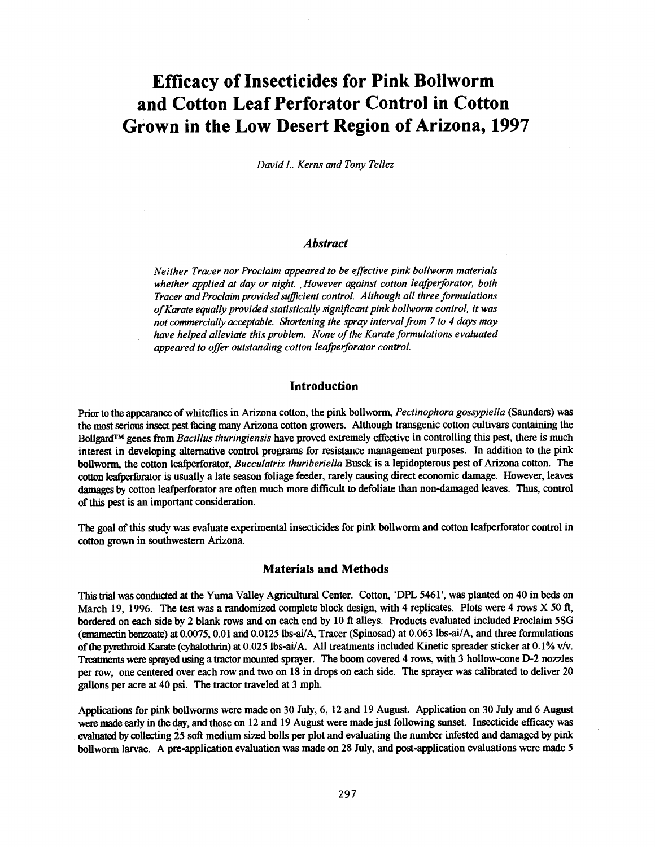# Efficacy of Insecticides for Pink Bollworm and Cotton Leaf Perforator Control in Cotton Grown in the Low Desert Region of Arizona, 1997

David L. Kerns and Tony Tellez

#### Abstract

Neither Tracer nor Proclaim appeared to be effective pink bollworm materials whether applied at day or night. However against cotton leafperforator, both Tracer and Proclaim provided sufficient control. Although all three formulations ofKarate equally provided statistically significant pink bollworm control, it was not commercially acceptable. Shortening the spray interval from 7 to 4 days may have helped alleviate this problem. None of the Karate formulations evaluated appeared to offer outstanding cotton leafperforator control.

## Introduction

Prior to the appearance of whiteflies in Arizona cotton, the pink bollworm, Pectinophora gossypiella (Saunders) was the most serious insect pest facing many Arizona cotton growers. Although transgenic cotton cultivars containing the Bollgard<sup>TM</sup> genes from *Bacillus thuringiensis* have proved extremely effective in controlling this pest, there is much interest in developing alternative control programs for resistance management purposes. In addition to the pink bollworm, the cotton leafperforator, *Bucculatrix thuriberiella* Busck is a lepidopterous pest of Arizona cotton. The cotton leafperforator is usually a late season foliage feeder, rarely causing direct economic damage. However, leaves damages by cotton leafperforator are often much more difficult to defoliate than non -damaged leaves. Thus, control of this pest is an important consideration.

The goal of this study was evaluate experimental insecticides for pink bollworm and cotton leafperforator control in cotton grown in southwestern Arizona.

#### Materials and Methods

This trial was conducted at the Yuma Valley Agricultural Center. Cotton, `DPL 5461', was planted on 40 in beds on March 19, 1996. The test was a randomized complete block design, with 4 replicates. Plots were 4 rows X 50 ft, bordered on each side by 2 blank rows and on each end by 10 ft alleys. Products evaluated included Proclaim 5SG (emamectin benzoate) at 0.0075, 0.01 and 0.0125lbs -ai/A, Tracer (Spinosad) at 0.063 lbs -ai/A, and three formulations of the pyrethroid Karate (cyhalothrin) at 0.025 lbs -ai/A. All treatments included Kinetic spreader sticker at 0.1% v/v. Treatments were sprayed using a tractor mounted sprayer. The boom covered 4 rows, with 3 hollow-cone D-2 nozzles per row, one centered over each row and two on 18 in drops on each side. The sprayer was calibrated to deliver 20 gallons per acre at 40 psi. The tractor traveled at 3 mph.

Applications for pink bollworms were made on 30 July, 6, 12 and 19 August. Application on 30 July and 6 August were made early in the day, and those on 12 and 19 August were made just following sunset. Insecticide efficacy was evaluated by collecting 25 soft medium sized bolls per plot and evaluating the number infested and damaged by pink bollworm larvae. A pre-application evaluation was made on 28 July, and post-application evaluations were made 5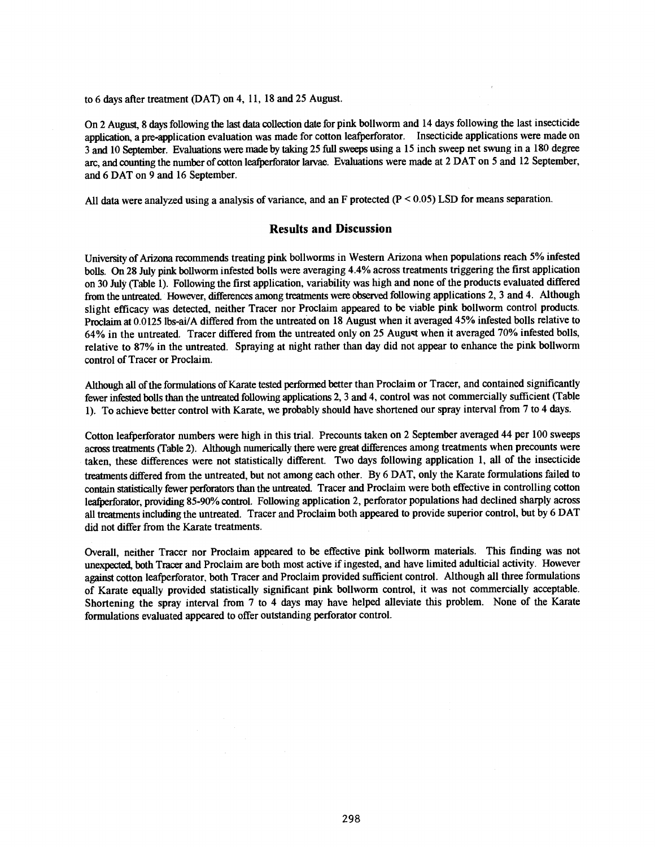to 6 days after treatment (DAT) on 4, 11, 18 and 25 August.

On 2 August, 8 days following the last data collection date for pink bollworm and 14 days following the last insecticide application, a pre- application evaluation was made for cotton leafperforator. Insecticide applications were made on 3 and 10 September. Evaluations were made by taking 25 full sweeps using a 15 inch sweep net swung in a 180 degree arc, and counting the number of cotton leafperforator larvae. Evaluations were made at 2 DAT on 5 and 12 September, and 6 DAT on 9 and 16 September.

All data were analyzed using a analysis of variance, and an F protected  $(P < 0.05)$  LSD for means separation.

### Results and Discussion

University of Arizona recommends treating pink bollworms in Western Arizona when populations reach 5% infested bolls. On 28 July pink bollworm infested bolls were averaging 4.4% across treatments triggering the first application on 30 July (Table 1). Following the first application, variability was high and none of the products evaluated differed from the untreated. However, differences among treatments were observed following applications 2, 3 and 4. Although slight efficacy was detected, neither Tracer nor Proclaim appeared to be viable pink bollworm control products. Proclaim at 0.0125 lbs-ai/A differed from the untreated on 18 August when it averaged 45% infested bolls relative to 64% in the untreated. Tracer differed from the untreated only on 25 Auguct when it averaged 70% infested bolls, relative to 87% in the untreated. Spraying at night rather than day did not appear to enhance the pink bollworm control of Tracer or Proclaim.

Although all of the formulations of Karate tested performed better than Proclaim or Tracer, and contained significantly fewer infested bolls than the untreated following applications 2, 3 and 4, control was not commercially sufficient (Table 1). To achieve better control with Karate, we probably should have shortened our spray interval from 7 to 4 days.

Cotton leafperforator numbers were high in this trial. Precounts taken on 2 September averaged 44 per 100 sweeps across treatments (Table 2). Although numerically there were great differences among treatments when precounts were taken, these differences were not statistically different. Two days following application 1, all of the insecticide treatments differed from the untreated, but not among each other. By 6 DAT, only the Karate formulations failed to contain statistically fewer perforators than the untreated. Tracer and Proclaim were both effective in controlling cotton leafperforator, providing 85 -90% control. Following application 2, perforator populations had declined sharply across all treatments including the untreated. Tracer and Proclaim both appeared to provide superior control, but by 6 DAT did not differ from the Karate treatments.

Overall, neither Tracer nor Proclaim appeared to be effective pink bollworm materials. This finding was not unexpected, both Tracer and Proclaim are both most active if ingested, and have limited adulticial activity. However against cotton leafperforator, both Tracer and Proclaim provided sufficient control. Although all three formulations of Karate equally provided statistically significant pink bollworm control, it was not commercially acceptable. Shortening the spray interval from 7 to 4 days may have helped alleviate this problem. None of the Karate formulations evaluated appeared to offer outstanding perforator control.